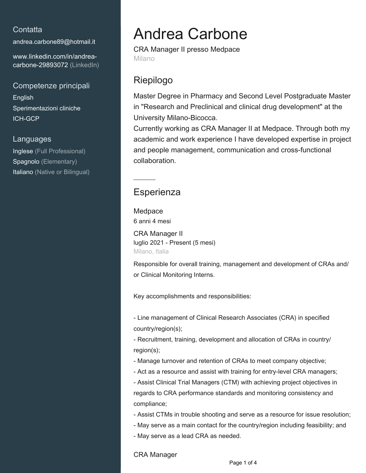### **Contatta**

[andrea.carbone89@hotmail.it](mailto:andrea.carbone89@hotmail.it)

[www.linkedin.com/in/andrea](https://www.linkedin.com/in/andrea-carbone-29893072?jobid=1234&lipi=urn%3Ali%3Apage%3Ad_jobs_easyapply_pdfgenresume%3BbndAtyHcRNaYaVyQA0v%2Bjg%3D%3D&licu=urn%3Ali%3Acontrol%3Ad_jobs_easyapply_pdfgenresume-v02_profile)[carbone-29893072 \(LinkedIn\)](https://www.linkedin.com/in/andrea-carbone-29893072?jobid=1234&lipi=urn%3Ali%3Apage%3Ad_jobs_easyapply_pdfgenresume%3BbndAtyHcRNaYaVyQA0v%2Bjg%3D%3D&licu=urn%3Ali%3Acontrol%3Ad_jobs_easyapply_pdfgenresume-v02_profile)

### Competenze principali

English Sperimentazioni cliniche ICH-GCP

#### Languages

Inglese (Full Professional) Spagnolo (Elementary) Italiano (Native or Bilingual)

# Andrea Carbone

CRA Manager II presso Medpace Milano

# Riepilogo

Master Degree in Pharmacy and Second Level Postgraduate Master in "Research and Preclinical and clinical drug development" at the University Milano-Bicocca.

Currently working as CRA Manager II at Medpace. Through both my academic and work experience I have developed expertise in project and people management, communication and cross-functional collaboration.

## **Esperienza**

Medpace 6 anni 4 mesi

CRA Manager II luglio 2021 - Present (5 mesi) Milano, Italia

Responsible for overall training, management and development of CRAs and/ or Clinical Monitoring Interns.

Key accomplishments and responsibilities:

- Line management of Clinical Research Associates (CRA) in specified country/region(s);

- Recruitment, training, development and allocation of CRAs in country/ region(s);

- Manage turnover and retention of CRAs to meet company objective;

- Act as a resource and assist with training for entry-level CRA managers;

- Assist Clinical Trial Managers (CTM) with achieving project objectives in regards to CRA performance standards and monitoring consistency and compliance;

- Assist CTMs in trouble shooting and serve as a resource for issue resolution;
- May serve as a main contact for the country/region including feasibility; and

- May serve as a lead CRA as needed.

CRA Manager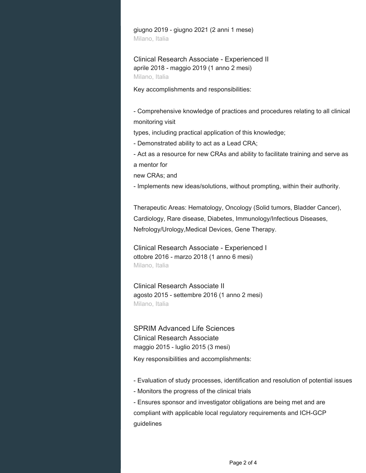giugno 2019 - giugno 2021 (2 anni 1 mese) Milano, Italia

Clinical Research Associate - Experienced II aprile 2018 - maggio 2019 (1 anno 2 mesi) Milano, Italia

Key accomplishments and responsibilities:

- Comprehensive knowledge of practices and procedures relating to all clinical monitoring visit

types, including practical application of this knowledge;

- Demonstrated ability to act as a Lead CRA;

- Act as a resource for new CRAs and ability to facilitate training and serve as a mentor for

new CRAs; and

- Implements new ideas/solutions, without prompting, within their authority.

Therapeutic Areas: Hematology, Oncology (Solid tumors, Bladder Cancer), Cardiology, Rare disease, Diabetes, Immunology/Infectious Diseases, Nefrology/Urology,Medical Devices, Gene Therapy.

Clinical Research Associate - Experienced I ottobre 2016 - marzo 2018 (1 anno 6 mesi) Milano, Italia

Clinical Research Associate II agosto 2015 - settembre 2016 (1 anno 2 mesi) Milano, Italia

SPRIM Advanced Life Sciences Clinical Research Associate maggio 2015 - luglio 2015 (3 mesi)

Key responsibilities and accomplishments:

- Evaluation of study processes, identification and resolution of potential issues

- Monitors the progress of the clinical trials

- Ensures sponsor and investigator obligations are being met and are compliant with applicable local regulatory requirements and ICH-GCP guidelines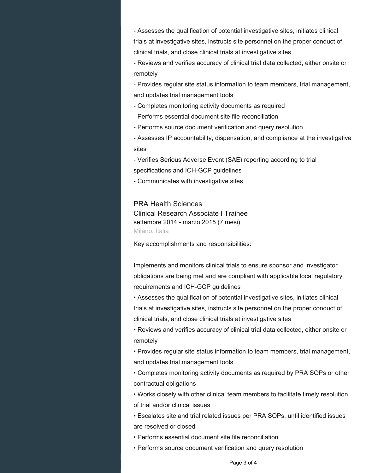- Assesses the qualification of potential investigative sites, initiates clinical trials at investigative sites, instructs site personnel on the proper conduct of clinical trials, and close clinical trials at investigative sites

- Reviews and verifies accuracy of clinical trial data collected, either onsite or remotely

- Provides regular site status information to team members, trial management, and updates trial management tools

- Completes monitoring activity documents as required

- Performs essential document site file reconciliation

- Performs source document verification and query resolution

- Assesses IP accountability, dispensation, and compliance at the investigative sites

- Verifies Serious Adverse Event (SAE) reporting according to trial

specifications and ICH-GCP guidelines

- Communicates with investigative sites

PRA Health Sciences

Clinical Research Associate I Trainee settembre 2014 - marzo 2015 (7 mesi) Milano, Italia

Key accomplishments and responsibilities:

Implements and monitors clinical trials to ensure sponsor and investigator obligations are being met and are compliant with applicable local regulatory requirements and ICH-GCP guidelines

• Assesses the qualification of potential investigative sites, initiates clinical trials at investigative sites, instructs site personnel on the proper conduct of clinical trials, and close clinical trials at investigative sites

• Reviews and verifies accuracy of clinical trial data collected, either onsite or remotely

• Provides regular site status information to team members, trial management, and updates trial management tools

• Completes monitoring activity documents as required by PRA SOPs or other contractual obligations

• Works closely with other clinical team members to facilitate timely resolution of trial and/or clinical issues

• Escalates site and trial related issues per PRA SOPs, until identified issues are resolved or closed

• Performs essential document site file reconciliation

• Performs source document verification and query resolution